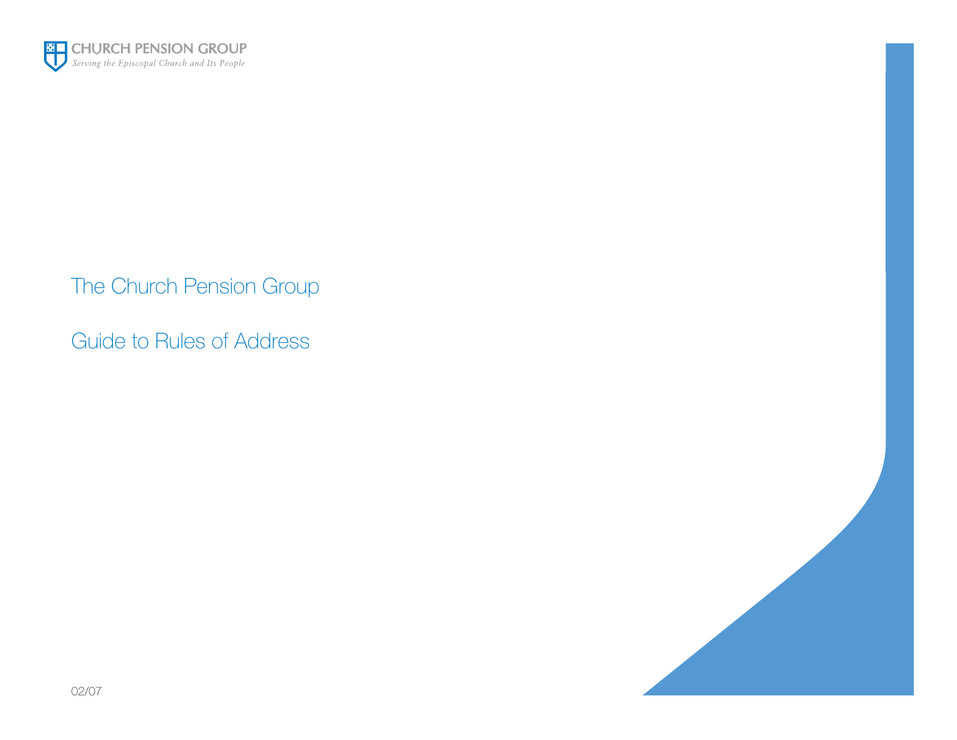

The Church Pension Group

Guide to Rules of Address



02/07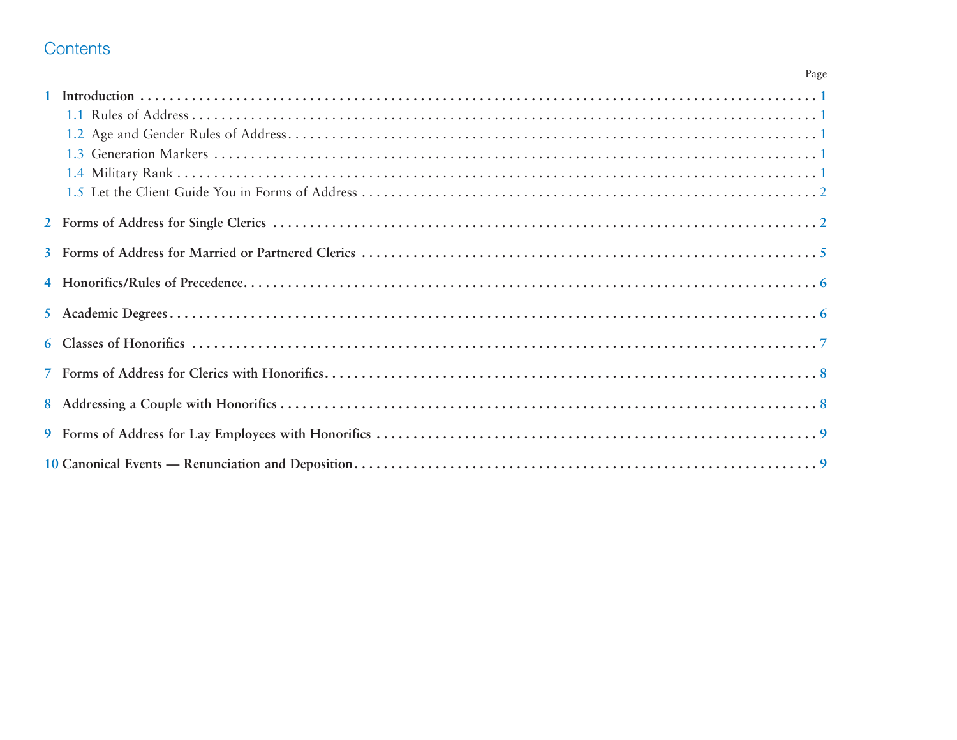## Contents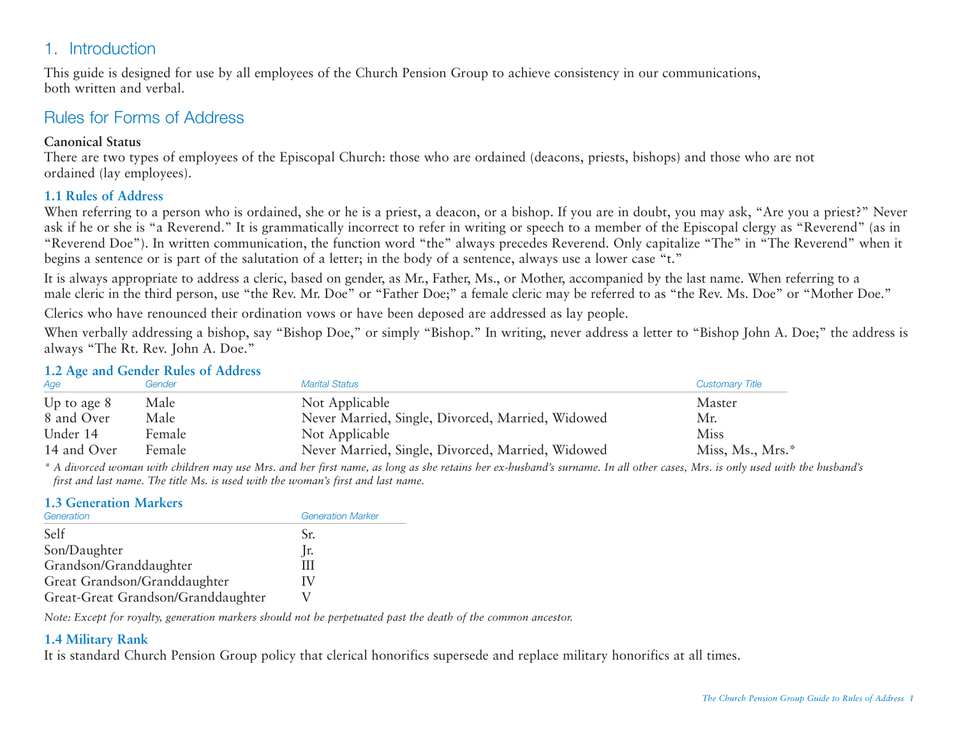## 1. Introduction

This guide is designed for use by all employees of the Church Pension Group to achieve consistency in our communications, both written and verbal.

### Rules for Forms of Address

#### **Canonical Status**

There are two types of employees of the Episcopal Church: those who are ordained (deacons, priests, bishops) and those who are not ordained (lay employees).

#### **1.1 Rules of Address**

When referring to a person who is ordained, she or he is a priest, a deacon, or a bishop. If you are in doubt, you may ask, "Are you a priest?" Never ask if he or she is "a Reverend." It is grammatically incorrect to refer in writing or speech to a member of the Episcopal clergy as "Reverend" (as in "Reverend Doe"). In written communication, the function word "the" always precedes Reverend. Only capitalize "The" in "The Reverend" when it begins a sentence or is part of the salutation of a letter; in the body of a sentence, always use a lower case "t."

It is always appropriate to address a cleric, based on gender, as Mr., Father, Ms., or Mother, accompanied by the last name. When referring to a male cleric in the third person, use "the Rev. Mr. Doe" or "Father Doe;" a female cleric may be referred to as "the Rev. Ms. Doe" or "Mother Doe."

Clerics who have renounced their ordination vows or have been deposed are addressed as lay people.

When verbally addressing a bishop, say "Bishop Doe," or simply "Bishop." In writing, never address a letter to "Bishop John A. Doe;" the address is always "The Rt. Rev. John A. Doe."

#### **1.2 Age and Gender Rules of Address**

| Age           | Gender | <b>Marital Status</b>                             | <b>Customary Title</b> |
|---------------|--------|---------------------------------------------------|------------------------|
| Up to age $8$ | Male   | Not Applicable                                    | Master                 |
| 8 and Over    | Male   | Never Married, Single, Divorced, Married, Widowed | Mr.                    |
| Under 14      | Female | Not Applicable                                    | Miss                   |
| 14 and Over   | Female | Never Married, Single, Divorced, Married, Widowed | Miss, Ms., Mrs.*       |

*\* A divorced woman with children may use Mrs. and her first name, as long as she retains her ex-husband's surname. In all other cases, Mrs. is only used with the husband's first and last name. The title Ms. is used with the woman's first and last name.*

#### **1.3 Generation Markers**

| Generation                         | <b>Generation Marker</b> |
|------------------------------------|--------------------------|
| Self                               | Sr.                      |
| Son/Daughter                       | Jr.                      |
| Grandson/Granddaughter             | Ш                        |
| Great Grandson/Granddaughter       | IV                       |
| Great-Great Grandson/Granddaughter |                          |

*Note: Except for royalty, generation markers should not be perpetuated past the death of the common ancestor.*

#### **1.4 Military Rank**

It is standard Church Pension Group policy that clerical honorifics supersede and replace military honorifics at all times.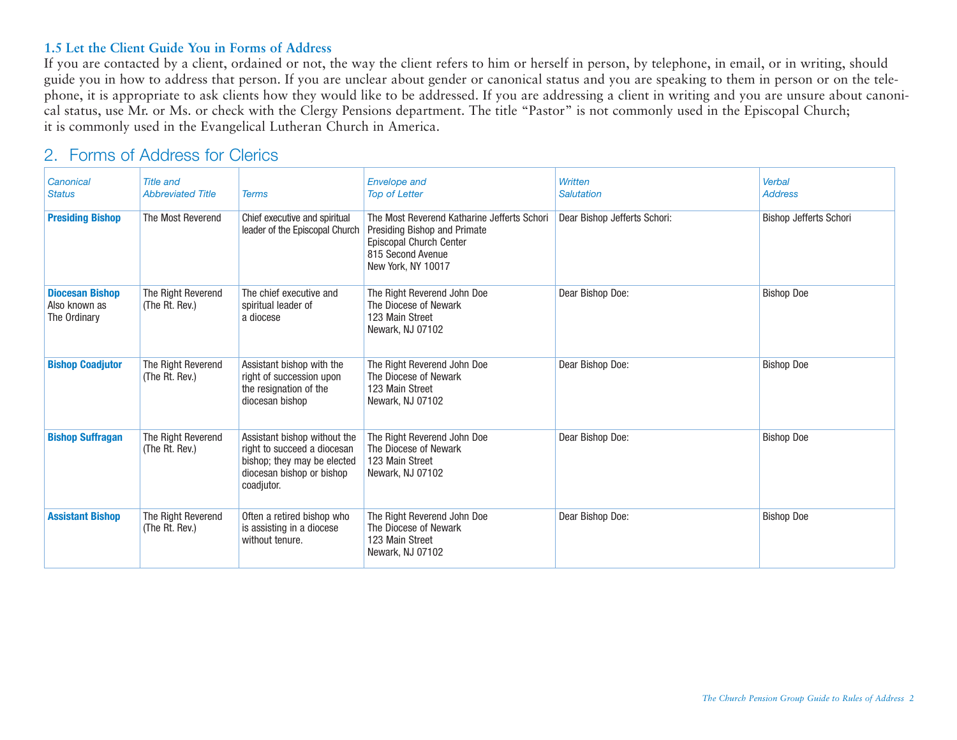#### **1.5 Let the Client Guide You in Forms of Address**

If you are contacted by a client, ordained or not, the way the client refers to him or herself in person, by telephone, in email, or in writing, should guide you in how to address that person. If you are unclear about gender or canonical status and you are speaking to them in person or on the telephone, it is appropriate to ask clients how they would like to be addressed. If you are addressing a client in writing and you are unsure about canonical status, use Mr. or Ms. or check with the Clergy Pensions department. The title "Pastor" is not commonly used in the Episcopal Church; it is commonly used in the Evangelical Lutheran Church in America.

### 2. Forms of Address for Clerics

| Canonical<br><b>Status</b>                              | <b>Title and</b><br><b>Abbreviated Title</b> | <b>Terms</b>                                                                                                                          | <b>Envelope and</b><br><b>Top of Letter</b>                                                                                                       | <b>Written</b><br><b>Salutation</b> | Verbal<br><b>Address</b>      |
|---------------------------------------------------------|----------------------------------------------|---------------------------------------------------------------------------------------------------------------------------------------|---------------------------------------------------------------------------------------------------------------------------------------------------|-------------------------------------|-------------------------------|
| <b>Presiding Bishop</b>                                 | The Most Reverend                            | Chief executive and spiritual<br>leader of the Episcopal Church                                                                       | The Most Reverend Katharine Jefferts Schori<br>Presiding Bishop and Primate<br>Episcopal Church Center<br>815 Second Avenue<br>New York, NY 10017 | Dear Bishop Jefferts Schori:        | <b>Bishop Jefferts Schori</b> |
| <b>Diocesan Bishop</b><br>Also known as<br>The Ordinary | The Right Reverend<br>(The Rt. Rev.)         | The chief executive and<br>spiritual leader of<br>a diocese                                                                           | The Right Reverend John Doe<br>The Diocese of Newark<br>123 Main Street<br>Newark, NJ 07102                                                       | Dear Bishop Doe:                    | <b>Bishop Doe</b>             |
| <b>Bishop Coadjutor</b>                                 | The Right Reverend<br>(The Rt. Rev.)         | Assistant bishop with the<br>right of succession upon<br>the resignation of the<br>diocesan bishop                                    | The Right Reverend John Doe<br>The Diocese of Newark<br>123 Main Street<br>Newark, NJ 07102                                                       | Dear Bishop Doe:                    | <b>Bishop Doe</b>             |
| <b>Bishop Suffragan</b>                                 | The Right Reverend<br>(The Rt. Rev.)         | Assistant bishop without the<br>right to succeed a diocesan<br>bishop; they may be elected<br>diocesan bishop or bishop<br>coadjutor. | The Right Reverend John Doe<br>The Diocese of Newark<br>123 Main Street<br>Newark, NJ 07102                                                       | Dear Bishop Doe:                    | <b>Bishop Doe</b>             |
| <b>Assistant Bishop</b>                                 | The Right Reverend<br>(The Rt. Rev.)         | Often a retired bishop who<br>is assisting in a diocese<br>without tenure.                                                            | The Right Reverend John Doe<br>The Diocese of Newark<br>123 Main Street<br>Newark, NJ 07102                                                       | Dear Bishop Doe:                    | <b>Bishop Doe</b>             |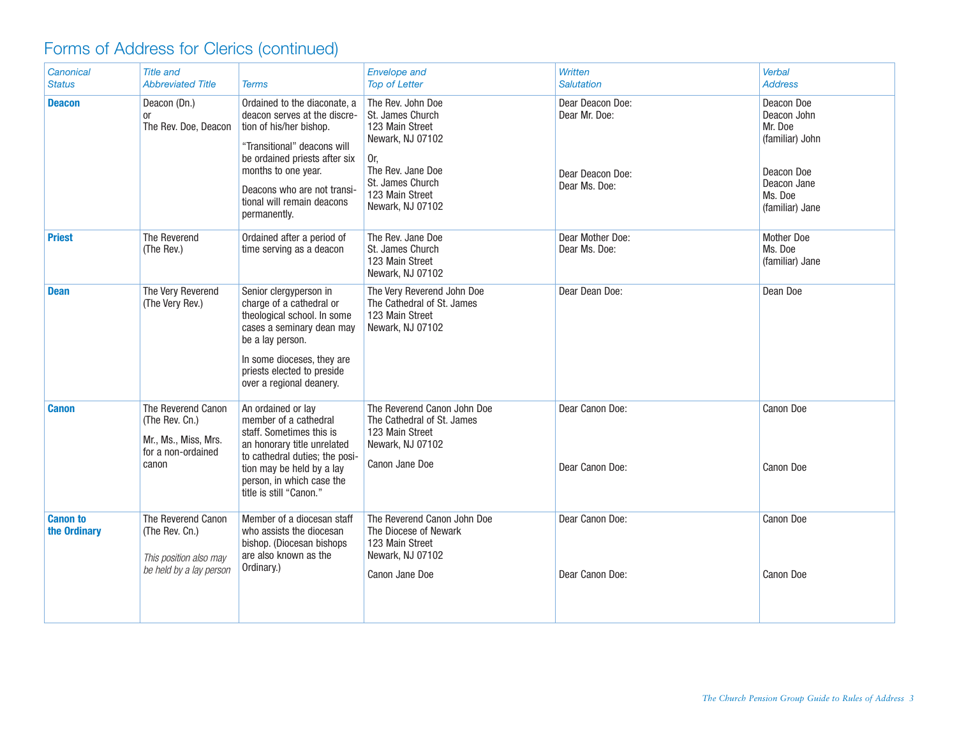# Forms of Address for Clerics (continued)

| Canonical<br><b>Status</b>      | <b>Title and</b><br><b>Abbreviated Title</b>                                                | <b>Terms</b>                                                                                                                                                                                                                                                | Envelope and<br><b>Top of Letter</b>                                                                                                                                | Written<br><b>Salutation</b>                                           | Verbal<br><b>Address</b>                                                                                           |
|---------------------------------|---------------------------------------------------------------------------------------------|-------------------------------------------------------------------------------------------------------------------------------------------------------------------------------------------------------------------------------------------------------------|---------------------------------------------------------------------------------------------------------------------------------------------------------------------|------------------------------------------------------------------------|--------------------------------------------------------------------------------------------------------------------|
| <b>Deacon</b>                   | Deacon (Dn.)<br>or<br>The Rev. Doe, Deacon                                                  | Ordained to the diaconate, a<br>deacon serves at the discre-<br>tion of his/her bishop.<br>"Transitional" deacons will<br>be ordained priests after six<br>months to one year.<br>Deacons who are not transi-<br>tional will remain deacons<br>permanently. | The Rev. John Doe<br>St. James Church<br>123 Main Street<br>Newark, NJ 07102<br>Or,<br>The Rev. Jane Doe<br>St. James Church<br>123 Main Street<br>Newark, NJ 07102 | Dear Deacon Doe:<br>Dear Mr. Doe:<br>Dear Deacon Doe:<br>Dear Ms. Doe: | Deacon Doe<br>Deacon John<br>Mr. Doe<br>(familiar) John<br>Deacon Doe<br>Deacon Jane<br>Ms. Doe<br>(familiar) Jane |
| <b>Priest</b>                   | The Reverend<br>(The Rev.)                                                                  | Ordained after a period of<br>time serving as a deacon                                                                                                                                                                                                      | The Rev. Jane Doe<br>St. James Church<br>123 Main Street<br>Newark, NJ 07102                                                                                        | Dear Mother Doe:<br>Dear Ms. Doe:                                      | <b>Mother Doe</b><br>Ms. Doe<br>(familiar) Jane                                                                    |
| <b>Dean</b>                     | The Very Reverend<br>(The Very Rev.)                                                        | Senior clergyperson in<br>charge of a cathedral or<br>theological school. In some<br>cases a seminary dean may<br>be a lay person.<br>In some dioceses, they are<br>priests elected to preside<br>over a regional deanery.                                  | The Very Reverend John Doe<br>The Cathedral of St. James<br>123 Main Street<br>Newark, NJ 07102                                                                     | Dear Dean Doe:                                                         | Dean Doe                                                                                                           |
| <b>Canon</b>                    | The Reverend Canon<br>(The Rev. Cn.)<br>Mr., Ms., Miss, Mrs.<br>for a non-ordained<br>canon | An ordained or lay<br>member of a cathedral<br>staff. Sometimes this is<br>an honorary title unrelated<br>to cathedral duties; the posi-<br>tion may be held by a lay<br>person, in which case the<br>title is still "Canon."                               | The Reverend Canon John Doe<br>The Cathedral of St. James<br>123 Main Street<br>Newark, NJ 07102<br>Canon Jane Doe                                                  | Dear Canon Doe:<br>Dear Canon Doe:                                     | Canon Doe<br>Canon Doe                                                                                             |
| <b>Canon to</b><br>the Ordinary | The Reverend Canon<br>(The Rev. Cn.)<br>This position also may<br>be held by a lay person   | Member of a diocesan staff<br>who assists the diocesan<br>bishop. (Diocesan bishops<br>are also known as the<br>Ordinary.)                                                                                                                                  | The Reverend Canon John Doe<br>The Diocese of Newark<br>123 Main Street<br>Newark, NJ 07102<br>Canon Jane Doe                                                       | Dear Canon Doe:<br>Dear Canon Doe:                                     | Canon Doe<br>Canon Doe                                                                                             |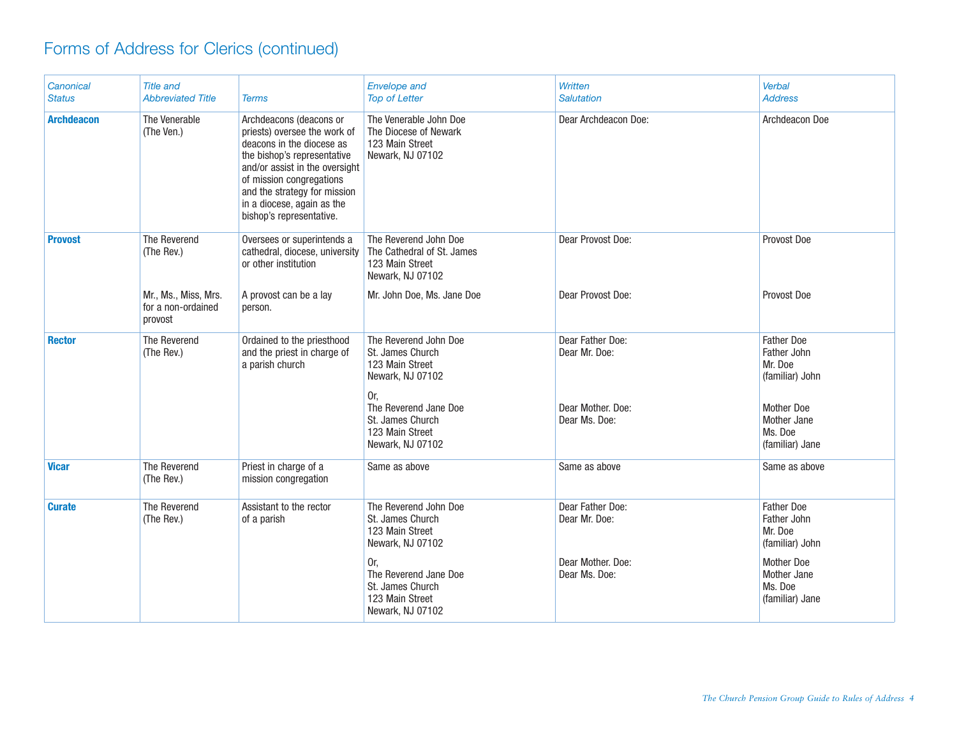# Forms of Address for Clerics (continued)

| Canonical<br><b>Status</b> | <b>Title and</b><br><b>Abbreviated Title</b>          | <b>Terms</b>                                                                                                                                                                                                                                                                | <b>Envelope and</b><br><b>Top of Letter</b>                                                                                                                                 | Written<br><b>Salutation</b>                                            | <b>Verbal</b><br><b>Address</b>                                                                                                  |
|----------------------------|-------------------------------------------------------|-----------------------------------------------------------------------------------------------------------------------------------------------------------------------------------------------------------------------------------------------------------------------------|-----------------------------------------------------------------------------------------------------------------------------------------------------------------------------|-------------------------------------------------------------------------|----------------------------------------------------------------------------------------------------------------------------------|
| <b>Archdeacon</b>          | The Venerable<br>(The Ven.)                           | Archdeacons (deacons or<br>priests) oversee the work of<br>deacons in the diocese as<br>the bishop's representative<br>and/or assist in the oversight<br>of mission congregations<br>and the strategy for mission<br>in a diocese, again as the<br>bishop's representative. | The Venerable John Doe<br>The Diocese of Newark<br>123 Main Street<br>Newark, NJ 07102                                                                                      | Dear Archdeacon Doe:                                                    | Archdeacon Doe                                                                                                                   |
| <b>Provost</b>             | The Reverend<br>(The Rev.)                            | Oversees or superintends a<br>cathedral, diocese, university<br>or other institution                                                                                                                                                                                        | The Reverend John Doe<br>The Cathedral of St. James<br>123 Main Street<br>Newark, NJ 07102                                                                                  | Dear Provost Doe:                                                       | Provost Doe                                                                                                                      |
|                            | Mr., Ms., Miss, Mrs.<br>for a non-ordained<br>provost | A provost can be a lay<br>person.                                                                                                                                                                                                                                           | Mr. John Doe, Ms. Jane Doe                                                                                                                                                  | Dear Provost Doe:                                                       | Provost Doe                                                                                                                      |
| <b>Rector</b>              | The Reverend<br>(The Rev.)                            | Ordained to the priesthood<br>and the priest in charge of<br>a parish church                                                                                                                                                                                                | The Reverend John Doe<br>St. James Church<br>123 Main Street<br>Newark, NJ 07102<br>Or,<br>The Reverend Jane Doe<br>St. James Church<br>123 Main Street<br>Newark, NJ 07102 | Dear Father Doe:<br>Dear Mr. Doe:<br>Dear Mother, Doe:<br>Dear Ms. Doe: | <b>Father Doe</b><br>Father John<br>Mr. Doe<br>(familiar) John<br><b>Mother Doe</b><br>Mother Jane<br>Ms. Doe<br>(familiar) Jane |
| <b>Vicar</b>               | The Reverend<br>(The Rev.)                            | Priest in charge of a<br>mission congregation                                                                                                                                                                                                                               | Same as above                                                                                                                                                               | Same as above                                                           | Same as above                                                                                                                    |
| <b>Curate</b>              | The Reverend<br>(The Rev.)                            | Assistant to the rector<br>of a parish                                                                                                                                                                                                                                      | The Reverend John Doe<br>St. James Church<br>123 Main Street<br>Newark, NJ 07102<br>Or.<br>The Reverend Jane Doe<br>St. James Church<br>123 Main Street<br>Newark, NJ 07102 | Dear Father Doe:<br>Dear Mr. Doe:<br>Dear Mother, Doe:<br>Dear Ms. Doe: | <b>Father Doe</b><br>Father John<br>Mr. Doe<br>(familiar) John<br><b>Mother Doe</b><br>Mother Jane<br>Ms. Doe<br>(familiar) Jane |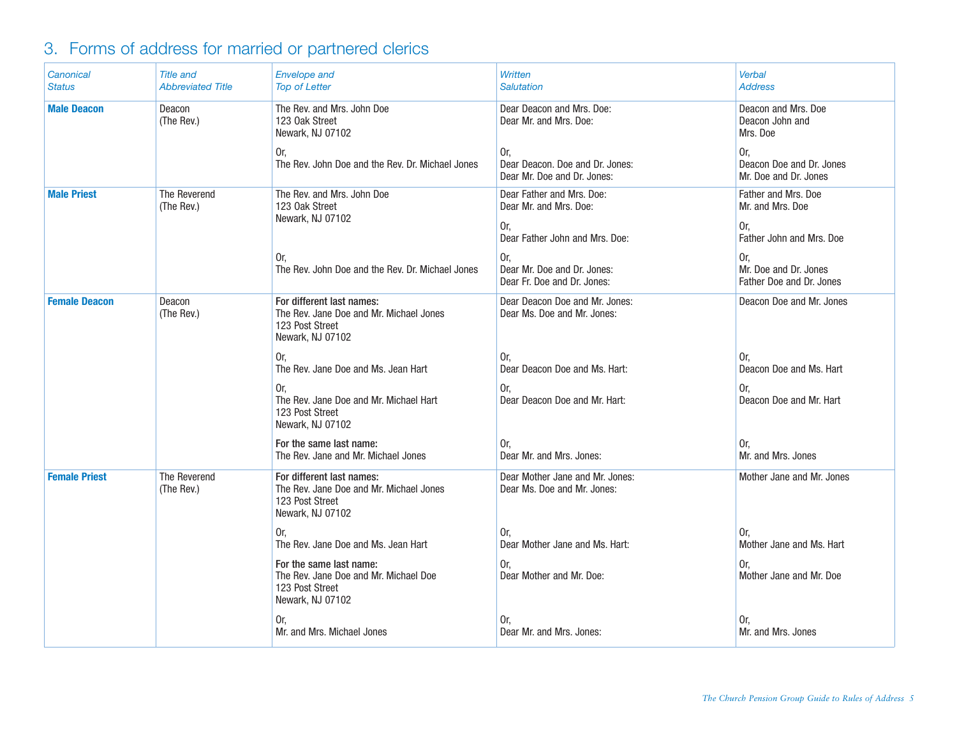# 3. Forms of address for married or partnered clerics

| Canonical<br><b>Status</b> | <b>Title and</b><br><b>Abbreviated Title</b> | <b>Envelope and</b><br><b>Top of Letter</b>                                                                 | Written<br><b>Salutation</b>                                          | <b>Verbal</b><br><b>Address</b>                          |
|----------------------------|----------------------------------------------|-------------------------------------------------------------------------------------------------------------|-----------------------------------------------------------------------|----------------------------------------------------------|
| <b>Male Deacon</b>         | Deacon<br>(The Rev.)                         | The Rev. and Mrs. John Doe<br>123 Oak Street<br>Newark, NJ 07102                                            | Dear Deacon and Mrs. Doe:<br>Dear Mr. and Mrs. Doe:                   | Deacon and Mrs. Doe<br>Deacon John and<br>Mrs. Doe       |
|                            |                                              | Or.<br>The Rev. John Doe and the Rev. Dr. Michael Jones                                                     | Or,<br>Dear Deacon. Doe and Dr. Jones:<br>Dear Mr. Doe and Dr. Jones: | Or,<br>Deacon Doe and Dr. Jones<br>Mr. Doe and Dr. Jones |
| <b>Male Priest</b>         | The Reverend<br>(The Rev.)                   | The Rev. and Mrs. John Doe<br>123 Oak Street<br>Newark, NJ 07102                                            | Dear Father and Mrs. Doe:<br>Dear Mr. and Mrs. Doe:<br>Or,            | Father and Mrs. Doe<br>Mr. and Mrs. Doe<br>Or,           |
|                            |                                              |                                                                                                             | Dear Father John and Mrs. Doe:                                        | Father John and Mrs. Doe                                 |
|                            |                                              | 0r.<br>The Rev. John Doe and the Rev. Dr. Michael Jones                                                     | Or,<br>Dear Mr. Doe and Dr. Jones:<br>Dear Fr. Doe and Dr. Jones:     | Or,<br>Mr. Doe and Dr. Jones<br>Father Doe and Dr. Jones |
| <b>Female Deacon</b>       | Deacon<br>(The Rev.)                         | For different last names:<br>The Rev. Jane Doe and Mr. Michael Jones<br>123 Post Street<br>Newark, NJ 07102 | Dear Deacon Doe and Mr. Jones:<br>Dear Ms. Doe and Mr. Jones:         | Deacon Doe and Mr. Jones                                 |
|                            |                                              | Or.<br>The Rev. Jane Doe and Ms. Jean Hart                                                                  | Or.<br>Dear Deacon Doe and Ms. Hart:                                  | 0r.<br>Deacon Doe and Ms. Hart                           |
|                            |                                              | Or.<br>The Rev. Jane Doe and Mr. Michael Hart<br>123 Post Street<br>Newark, NJ 07102                        | Or,<br>Dear Deacon Doe and Mr. Hart:                                  | Or.<br>Deacon Doe and Mr. Hart                           |
|                            |                                              | For the same last name:<br>The Rev. Jane and Mr. Michael Jones                                              | Or.<br>Dear Mr. and Mrs. Jones:                                       | Or,<br>Mr. and Mrs. Jones                                |
| <b>Female Priest</b>       | The Reverend<br>(The Rev.)                   | For different last names:<br>The Rev. Jane Doe and Mr. Michael Jones<br>123 Post Street<br>Newark, NJ 07102 | Dear Mother Jane and Mr. Jones:<br>Dear Ms. Doe and Mr. Jones:        | Mother Jane and Mr. Jones                                |
|                            |                                              | 0r.<br>The Rev. Jane Doe and Ms. Jean Hart                                                                  | Or,<br>Dear Mother Jane and Ms. Hart:                                 | 0r.<br>Mother Jane and Ms. Hart                          |
|                            |                                              | For the same last name:<br>The Rev. Jane Doe and Mr. Michael Doe<br>123 Post Street<br>Newark, NJ 07102     | Or,<br>Dear Mother and Mr. Doe:                                       | Or.<br>Mother Jane and Mr. Doe                           |
|                            |                                              | 0r.<br>Mr. and Mrs. Michael Jones                                                                           | Or.<br>Dear Mr. and Mrs. Jones:                                       | Or.<br>Mr. and Mrs. Jones                                |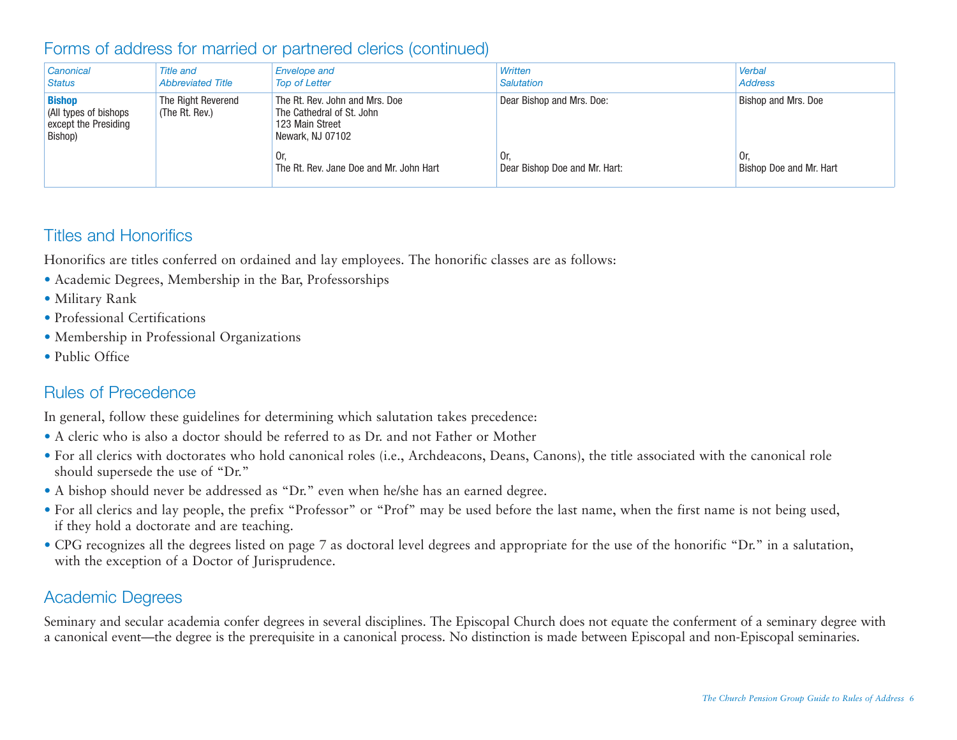## Forms of address for married or partnered clerics (continued)

| Canonical<br>Status                                                      | <b>Title and</b><br><b>Abbreviated Title</b>                                                                                               | <b>Envelope and</b><br><b>Top of Letter</b>    | Written<br><b>Salutation</b>         | Verbal<br><b>Address</b>       |
|--------------------------------------------------------------------------|--------------------------------------------------------------------------------------------------------------------------------------------|------------------------------------------------|--------------------------------------|--------------------------------|
| <b>Bishop</b><br>All types of bishops<br>except the Presiding<br>Bishop) | The Rt. Rev. John and Mrs. Doe<br>The Right Reverend<br>The Cathedral of St. John<br>(The Rt. Rev.)<br>123 Main Street<br>Newark, NJ 07102 |                                                | Dear Bishop and Mrs. Doe:            | <b>Bishop and Mrs. Doe</b>     |
|                                                                          |                                                                                                                                            | Or.<br>The Rt. Rev. Jane Doe and Mr. John Hart | Or.<br>Dear Bishop Doe and Mr. Hart: | Or.<br>Bishop Doe and Mr. Hart |

### Titles and Honorifics

Honorifics are titles conferred on ordained and lay employees. The honorific classes are as follows:

- Academic Degrees, Membership in the Bar, Professorships
- Military Rank
- Professional Certifications
- Membership in Professional Organizations
- Public Office

### Rules of Precedence

In general, follow these guidelines for determining which salutation takes precedence:

- A cleric who is also a doctor should be referred to as Dr. and not Father or Mother
- For all clerics with doctorates who hold canonical roles (i.e., Archdeacons, Deans, Canons), the title associated with the canonical role should supersede the use of "Dr."
- A bishop should never be addressed as "Dr." even when he/she has an earned degree.
- For all clerics and lay people, the prefix "Professor" or "Prof" may be used before the last name, when the first name is not being used, if they hold a doctorate and are teaching.
- CPG recognizes all the degrees listed on page 7 as doctoral level degrees and appropriate for the use of the honorific "Dr." in a salutation, with the exception of a Doctor of Jurisprudence.

## Academic Degrees

Seminary and secular academia confer degrees in several disciplines. The Episcopal Church does not equate the conferment of a seminary degree with a canonical event—the degree is the prerequisite in a canonical process. No distinction is made between Episcopal and non-Episcopal seminaries.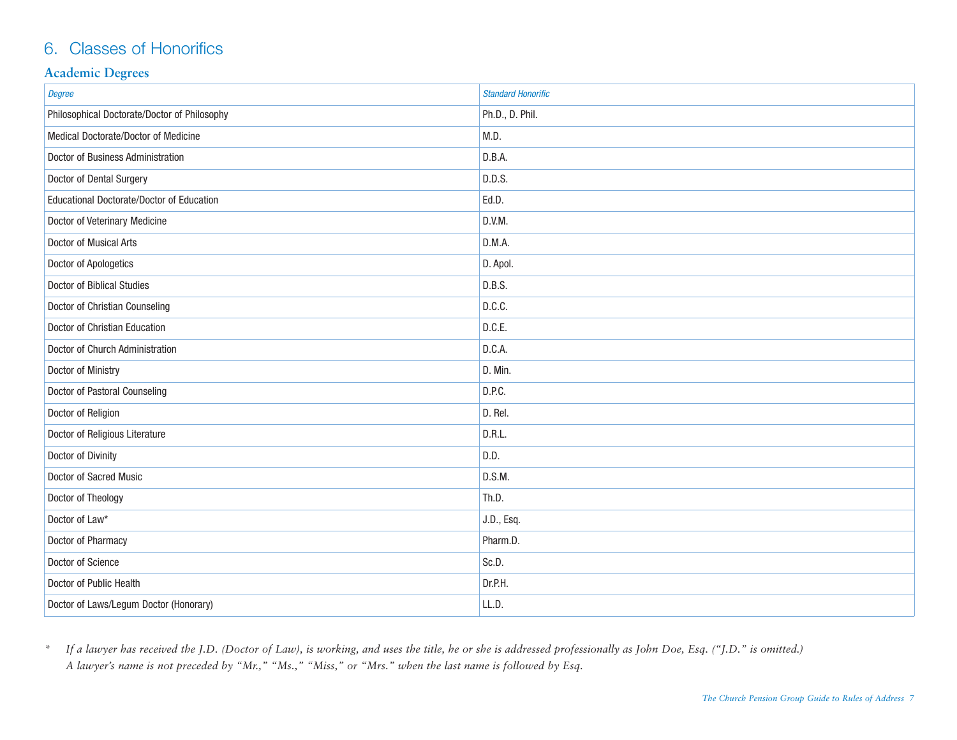## 6. Classes of Honorifics

#### **Academic Degrees**

| Degree                                       | <b>Standard Honorific</b> |
|----------------------------------------------|---------------------------|
| Philosophical Doctorate/Doctor of Philosophy | Ph.D., D. Phil.           |
| Medical Doctorate/Doctor of Medicine         | M.D.                      |
| Doctor of Business Administration            | D.B.A.                    |
| Doctor of Dental Surgery                     | D.D.S.                    |
| Educational Doctorate/Doctor of Education    | Ed.D.                     |
| Doctor of Veterinary Medicine                | D.V.M.                    |
| Doctor of Musical Arts                       | D.M.A.                    |
| Doctor of Apologetics                        | D. Apol.                  |
| Doctor of Biblical Studies                   | D.B.S.                    |
| Doctor of Christian Counseling               | D.C.C.                    |
| Doctor of Christian Education                | D.C.E.                    |
| Doctor of Church Administration              | D.C.A.                    |
| Doctor of Ministry                           | D. Min.                   |
| Doctor of Pastoral Counseling                | D.P.C.                    |
| Doctor of Religion                           | D. Rel.                   |
| Doctor of Religious Literature               | D.R.L.                    |
| Doctor of Divinity                           | D.D.                      |
| Doctor of Sacred Music                       | D.S.M.                    |
| Doctor of Theology                           | Th.D.                     |
| Doctor of Law*                               | J.D., Esq.                |
| Doctor of Pharmacy                           | Pharm.D.                  |
| Doctor of Science                            | Sc.D.                     |
| Doctor of Public Health                      | Dr.P.H.                   |
| Doctor of Laws/Legum Doctor (Honorary)       | LL.D.                     |

*\* If a lawyer has received the J.D. (Doctor of Law), is working, and uses the title, he or she is addressed professionally as John Doe, Esq. ("J.D." is omitted.) A lawyer's name is not preceded by "Mr.," "Ms.," "Miss," or "Mrs." when the last name is followed by Esq.*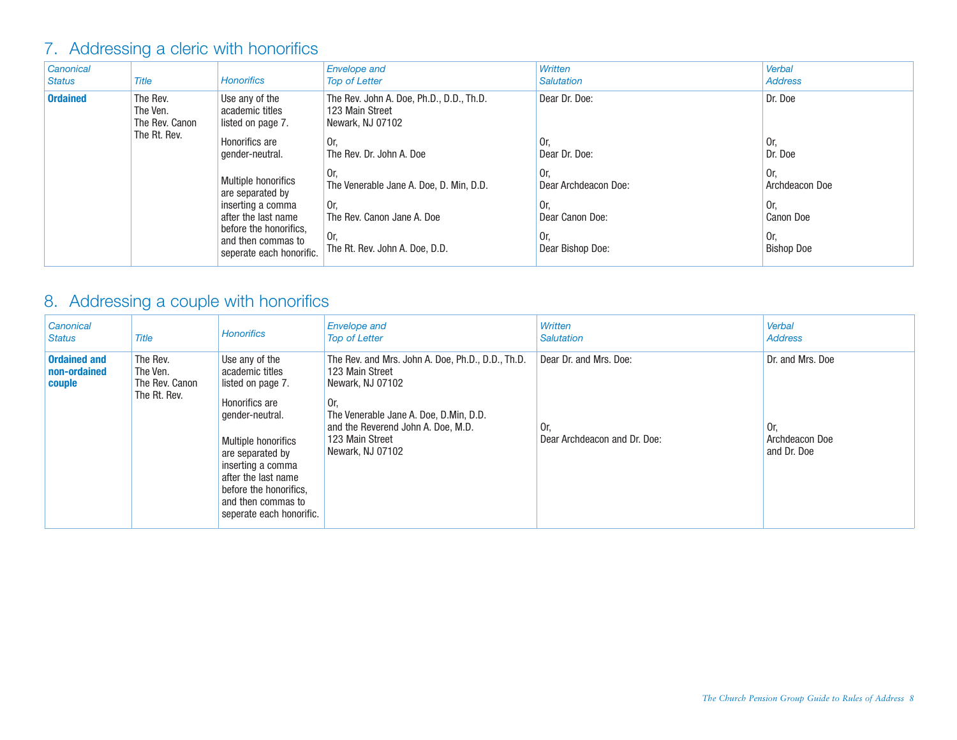## 7. Addressing a cleric with honorifics

| Canonical<br><b>Status</b> | <b>Title</b>                                           | <b>Honorifics</b>                                                                                                                                               | <b>Envelope and</b><br><b>Top of Letter</b>                                                                                 | Written<br><b>Salutation</b>                                                     | Verbal<br><b>Address</b>                                              |
|----------------------------|--------------------------------------------------------|-----------------------------------------------------------------------------------------------------------------------------------------------------------------|-----------------------------------------------------------------------------------------------------------------------------|----------------------------------------------------------------------------------|-----------------------------------------------------------------------|
| <b>Ordained</b>            | The Rev.<br>The Ven.<br>The Rev. Canon<br>The Rt. Rev. | Use any of the<br>academic titles<br>listed on page 7.                                                                                                          | The Rev. John A. Doe, Ph.D., D.D., Th.D.<br>123 Main Street<br>Newark, NJ 07102                                             | Dear Dr. Doe:                                                                    | Dr. Doe                                                               |
|                            |                                                        | Honorifics are<br>gender-neutral.                                                                                                                               | 0r.<br>The Rev. Dr. John A. Doe                                                                                             | 0r.<br>Dear Dr. Doe:                                                             | Or.<br>Dr. Doe                                                        |
|                            |                                                        | Multiple honorifics<br>are separated by<br>inserting a comma<br>after the last name<br>before the honorifics,<br>and then commas to<br>seperate each honorific. | 0r<br>The Venerable Jane A. Doe, D. Min, D.D.<br>0r.<br>The Rev. Canon Jane A. Doe<br>Or,<br>The Rt. Rev. John A. Doe. D.D. | 0r.<br>Dear Archdeacon Doe:<br>Or.<br>Dear Canon Doe:<br>0r.<br>Dear Bishop Doe: | Or.<br>Archdeacon Doe<br>Or.<br>Canon Doe<br>Or.<br><b>Bishop Doe</b> |

## 8. Addressing a couple with honorifics

| Canonical<br><b>Status</b>                    | <b>Title</b>                                           | <b>Honorifics</b>                                                                                                                                                                                                                                              | <b>Envelope and</b><br><b>Top of Letter</b>                                                                                                                                                                            | Written<br>Salutation                                         | Verbal<br><b>Address</b>                                |
|-----------------------------------------------|--------------------------------------------------------|----------------------------------------------------------------------------------------------------------------------------------------------------------------------------------------------------------------------------------------------------------------|------------------------------------------------------------------------------------------------------------------------------------------------------------------------------------------------------------------------|---------------------------------------------------------------|---------------------------------------------------------|
| <b>Ordained and</b><br>non-ordained<br>couple | The Rev.<br>The Ven.<br>The Rev. Canon<br>The Rt. Rev. | Use any of the<br>academic titles<br>listed on page 7.<br>Honorifics are<br>gender-neutral.<br>Multiple honorifics<br>are separated by<br>inserting a comma<br>after the last name<br>before the honorifics.<br>and then commas to<br>seperate each honorific. | The Rev. and Mrs. John A. Doe, Ph.D., D.D., Th.D.<br>123 Main Street<br>Newark, NJ 07102<br>Or.<br>The Venerable Jane A. Doe, D.Min, D.D.<br>and the Reverend John A. Doe, M.D.<br>123 Main Street<br>Newark, NJ 07102 | Dear Dr. and Mrs. Doe:<br>0r.<br>Dear Archdeacon and Dr. Doe: | Dr. and Mrs. Doe<br>0r<br>Archdeacon Doe<br>and Dr. Doe |